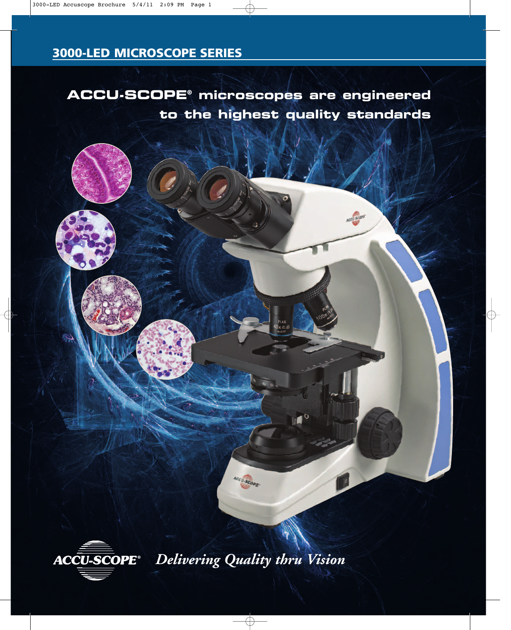**ACCU-SCOPE® microscopes are engineered to the highest quality standards**



*Delivering Quality thru Vision*

ACCU.SCOPE